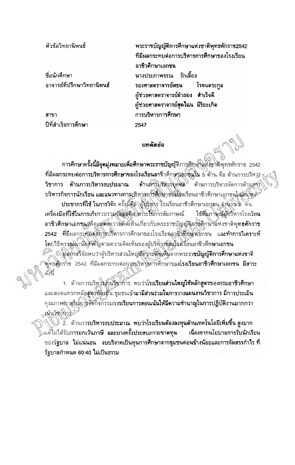หัวข้อวิทยานิพนธ์

ที่อนักศึกษา อาจารย์ที่ปรึกษาวิทยานิพนธ์

สาขา ปีที่สำเร็จการศึกษา

พระราชบัญญัติการศึกษาแห่งชาติพุทธศักราช2542 ที่มีผลกระทบต่อการบริหารการศึกษาของโรงเรียน อาชีวศึกษาเอกชน นางประภาพรรณ รักเลี้ยง รองศาสตราจารย์สธน โรจนดระกล ผู้ช่วยศาสตราจารย์ล้ายอง สำเร็จดี ผู้ช่วยศาสตราจารย์สุดใฉน มีริยะเกิด การบริหารการศึกษา 2547

## บทคัดย่อ

การศึกษาครั้งนี้มีจุดมุ่งหมายเพื่อศึกษาพระราชบัญญัติการศึกษาแห่งชาติพุทธศักราช 2542 ที่มีผลกระทบต่อการบริหารการศึกษาของโรงเรียนอาชีวศึกษาเอกชิ้นใน 5 ด้าน คือ ด้านการบริหลูร ด้านการมุริหิวรบุคติด ด้านการบริหารจัดการด้านการ์ วิชาการ ด้านการบริหารงบประมาณ บริหารกิจการนักเรียน และแนวทางการบริหารภารศึกษาของโรงเรียนอาชีวศึกษาเอกชนในอินาจดั ประชากรที่ใช้ ในการวิจัย ครั้งนี้คือ (ผู้ปริหาร โรงเรียนอาชีวศึกษาเอกชน จำนวนโย คน ใช้สัมภาษณ์ผู้บริหารโรงเรียน เครื่องมือที่ใช้ในการเก็บรวบรวมข้อมู่ตัดอะคาระในการสัมภาษณ์ อาชีวศึกษาเอกชุนเพื่อแสด์สถวามคิดเห็นเกี่ยวกับพระราชบัญญัติอาร์ศึกษาแห่งชาติพุทธศักราช 2542 ที่มีผลกระชัยต่อการบริหารการศึกษาของโรงเรียมอาชีพิพิษัติอกชน และทำการวิเคราะห์ โดยวิธีพรรณ์น้ำนั้นสังคัญตามความคิดเห็นของผู้บริหัวรัชยงโรงเรียนอาชีวศึกษาเอกชน <sub>√</sub>ั√ผลกรรวิจัยพบว่าผู้บริหารส่วนใหญ่มีคิงามสิตเห็นจากพระรา**ชบัญญัติการศึกษาแห่งชาติ** ังงุทธศักราช 2542 ที่มีผลกระทบต่อการบริหารทำรศึกษาของโร**งเรียนอาชีวศึกษาเอกชน มีสาระ** ต่านี้

1. ด้านการบริหารงับใจจำก๊าร พบว่าโรงเรียนส่วนใหญ่ใช้หลักสูตรของกรมอาชีวศึกษา ้และสอดแทรกหลักสูตุรัชองถิ่น ชุมชนเข้ามามีส่วนร่วมในการวางแผนงานวิชาการ มีการประเมิน คุณภาพถายในการจัดกิจกรรมการเรียนการสอนเน้นให้มีความชำนาญในการปฏิบัติงานมากกว่า S HILL ROAD

ี้ 2. ด้านการบริหารงบประมาณ พบว่าโรงเรียนค้องลงทุนด้านเทคโนโลยีเพิ่มขึ้น สูงมาก แต้ไม่ได้รับการยกเว้นภาษี และบางครั้งประสบภาวะขาดทุน ้เนื่องจากนโยบายการรับนักเรียน ึของรัฐบาล ไม่แน่นอน งบบริจาคเป็นทุนการศึกษาจากชุมชนค่อนข้างน้อยและการจัดสรรกำไร ที่ วัฐบาลกำหนด 60:40 ไม่เป็นธรรม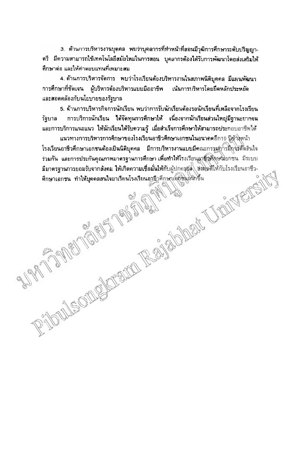3. ตัวนกวรบริหารงานบุคคล พบว่าบุคลากรที่ทำหน้าที่สอนมีวุฒิการศึกษาระดับปริญญา-ตรี มีความสามารถใช้เทคโนโลยีสมัยใหม่ในการสอน บุคลากรต้องได้รับการพัฒนาโดยส่งเสริมให้ ์ศึกษาด่อ และให้ค่าตอบแทนที่เหมาะสม

4. ด้านการบริหารจัดการ พบว่าโรงเรียนต้องบริหารงานในสภาพนิติบุคคล มีแผนพัฒนา การศึกษาที่ชัดเจน ผู้บริหารต้องบริหารแบบมืออาชีพ เน้นการบริหารโดยยึดหลักประหยัด และสอดคล้องกับนโยบายของรัฐบาล

5. ด้านการบริหารกิจการนักเรียน พบว่าการรับนักเรียนต้องรอนักเรียนที่เหลือจากโรงเรียน การบริการนักเรียน ได้จัดทุนการศึกษาไห้ เนื่องจากนักเรียนส่วนใหญ่มีฐานะยากจน รัฐบาล และการบริการแนะแนว ให้นักเรียนได้รับความรู้ เมื่อสำเร็จการศึกษาให้ตามารถประกอบอาชีพได้

แนวทางการบริหารการศึกษาของโรงเรียนอาชีวศึกษาเอกชนในอนาคตอีก10 ปีลั่วโงหน้า TULE OIL SACRADO REGIONES LA CONTENTINA โรงเรียนอาชีวศึกษาเอกชนต้องเป็นนิติบุคคล มีการบริหารงานแบบมีคณะกรรมฏารมิกจุรัติดิลินใจ ร่วมกัน และการประกันคุณภาพมาตรฐานการศึกษา เพื่อทำให้โรงเรียนอาชีวดีกษณะอกชน มีระบบ มีมาตรฐานการยอมรับจากสังคม ให้เกิดความเชื่อมั่นให้กับผู้ปกครอง ส่งผลดีให้กับโรงเรียนอาชีว-ตึกษาเอกชน ทำให้บุคคลสนใจมาเรียนโรงเรียนอาชีวตึกษาเอกซึ่งมหิกขึ้น

AV 1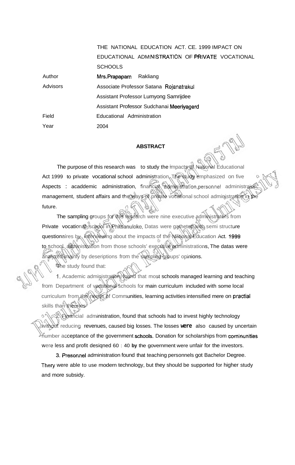Author Advisors Field Year THE NATIONAL EDUCATION ACT. CE. 1999 IMPACT ON EDUCATIONAL ADMINISTRATION OF PRIVATE VOCATIONAL **SCHOOLS** Mrs.Prapaparn Rakliang Associate Professor Satana **Rojanatrakul**  Assistant Professor Lumyong Samrijdee Assistant Professor Sudchanai Meeriyagerd Educational Administration 2004

## **ABSTRACT**

The purpose of this research was to study the impacts of National Educational Act 1999 to private vocational school administration. The study emphasized on five Aspects : acaddemic administration, financial **administration,personnel** administraion, management, student affairs and the ways of private vocational school administration in the future.

The sampling groups for this research were nine executive administrators from Private vocational school in Phitsanuloke, Datas were gatheted with semi structure questionaires by **interviewing about the impacts of the National Education Act. 1999** to school, administration from those schools' executive administrations, The datas were analyzed mainly by deseriptions from the sampling groups' opinions.

节he study found that:

**1.** Academic administration, found that most schools managed learning and teaching from Department of vocational schools for main curriculum included with some local curriculum from the needs of Communities, learning activities intensified mere on practial skills than theories

2. Financial administration, found that schools had to invest highly technology without reducing revenues, caused big losses. The losses **were** also caused by uncertain mumber acceptance of the government schools. Donation for scholarships from cominunities were less and profit desiqned 60 : 40 **by** the government were unfair for the investors.

**3.** Presonnel administration found that teaching personnels got Bachelor Degree. **Thery** were able to use modern technology, but they should be supported for higher study and more subsidy.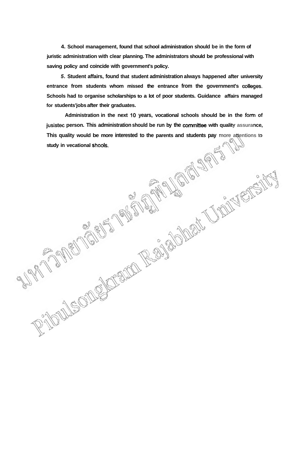**4. School management, found that school administration should be in the form of juristic administration with clear planning. The administrators should be professional with saving policy and coincide with government's policy.** 

**5. Student affairs, found that student administration always happened after university entrance from students whom missed the entrance from the government's colleges. Schools had to organise scholarships to a lot of poor students. Guidance affairs managed for students'jobs after their graduates.** 

**Administration in the next 10 years, vocational schools should be in the** form **of jusistec person. This administration should be run by the committee with quality assurance, This quality would be more interested to the parents and students pay more attentions to study in vecational shaols.**